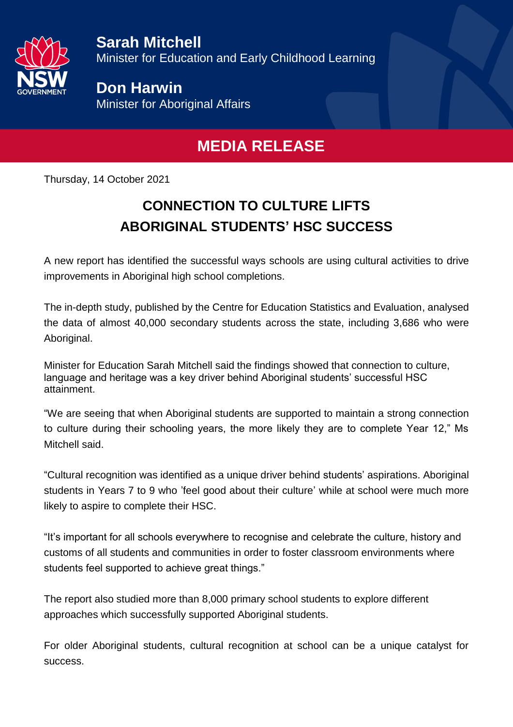

**Sarah Mitchell** Minister for Education and Early Childhood Learning

**Don Harwin** Minister for Aboriginal Affairs

## **MEDIA RELEASE**

Thursday, 14 October 2021

## **CONNECTION TO CULTURE LIFTS ABORIGINAL STUDENTS' HSC SUCCESS**

A new report has identified the successful ways schools are using cultural activities to drive improvements in Aboriginal high school completions.

The in-depth study, published by the Centre for Education Statistics and Evaluation, analysed the data of almost 40,000 secondary students across the state, including 3,686 who were Aboriginal.

Minister for Education Sarah Mitchell said the findings showed that connection to culture, language and heritage was a key driver behind Aboriginal students' successful HSC attainment.

"We are seeing that when Aboriginal students are supported to maintain a strong connection to culture during their schooling years, the more likely they are to complete Year 12," Ms Mitchell said.

"Cultural recognition was identified as a unique driver behind students' aspirations. Aboriginal students in Years 7 to 9 who 'feel good about their culture' while at school were much more likely to aspire to complete their HSC.

"It's important for all schools everywhere to recognise and celebrate the culture, history and customs of all students and communities in order to foster classroom environments where students feel supported to achieve great things."

The report also studied more than 8,000 primary school students to explore different approaches which successfully supported Aboriginal students.

For older Aboriginal students, cultural recognition at school can be a unique catalyst for success.